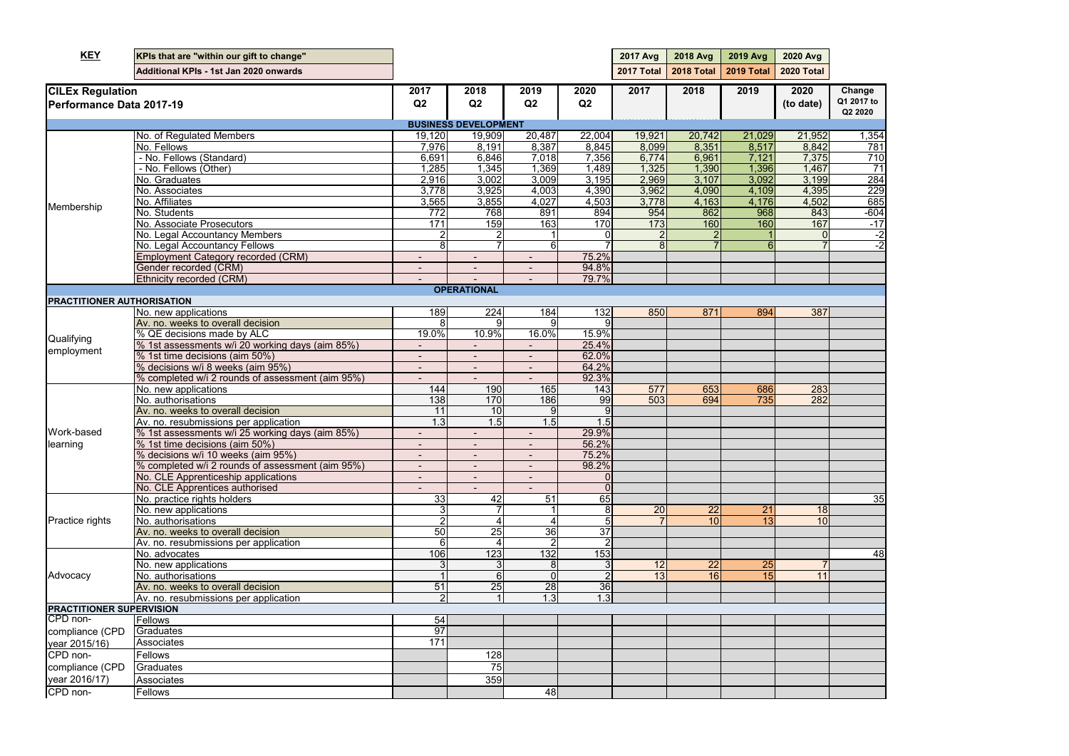| Avg<br>otal                     |                                 |
|---------------------------------|---------------------------------|
| $\overline{\mathbf{0}}$<br>ate) | Change<br>Q1 2017 to<br>Q2 2020 |
|                                 |                                 |
|                                 |                                 |
| ,952                            | 1,354                           |
| , 842                           | 781                             |
| $\frac{1}{37}$                  | 10                              |
| ,46                             |                                 |
| ,1<br>$\mathbf{C}$              | $\overline{28}$ 4               |
| $\frac{1}{2}$ ,395              | 2:<br>δğ                        |
| ,50.                            | 685                             |
| 843                             | $-604$                          |
|                                 |                                 |
| 167                             | ٠1                              |
| ĺ                               | 2                               |
|                                 | ٛ                               |
|                                 |                                 |
|                                 |                                 |
|                                 |                                 |
|                                 |                                 |
|                                 |                                 |
|                                 |                                 |
| 387                             |                                 |
|                                 |                                 |
|                                 |                                 |
|                                 |                                 |
|                                 |                                 |
|                                 |                                 |
|                                 |                                 |
| 283                             |                                 |
| 282                             |                                 |
|                                 |                                 |
|                                 |                                 |
|                                 |                                 |
|                                 |                                 |
|                                 |                                 |
|                                 |                                 |
|                                 |                                 |
|                                 |                                 |
|                                 |                                 |
|                                 | 35                              |
|                                 |                                 |
| $\frac{8}{0}$                   |                                 |
|                                 |                                 |
|                                 |                                 |
|                                 |                                 |
|                                 | 48                              |
|                                 |                                 |
|                                 |                                 |
|                                 |                                 |
|                                 |                                 |
|                                 |                                 |
|                                 |                                 |
|                                 |                                 |
|                                 |                                 |
|                                 |                                 |
|                                 |                                 |
|                                 |                                 |
|                                 |                                 |
|                                 |                                 |
|                                 |                                 |
|                                 |                                 |

| <b>KEY</b>                                          | KPIs that are "within our gift to change"        |                          |                             |                          |                 | <b>2017 Avg</b> | 2018 Avg   | <b>2019 Avg</b> | 2020 Avg          |                      |
|-----------------------------------------------------|--------------------------------------------------|--------------------------|-----------------------------|--------------------------|-----------------|-----------------|------------|-----------------|-------------------|----------------------|
|                                                     | Additional KPIs - 1st Jan 2020 onwards           |                          |                             |                          |                 | 2017 Total      | 2018 Total | 2019 Total      | <b>2020 Total</b> |                      |
| <b>CILEx Regulation</b><br>Performance Data 2017-19 |                                                  | 2017<br>Q <sub>2</sub>   | 2018<br>Q2                  | 2019<br>Q2               | 2020<br>Q2      | 2017            | 2018       | 2019            | 2020<br>(to date) | Change<br>Q1 2017 to |
|                                                     |                                                  |                          | <b>BUSINESS DEVELOPMENT</b> |                          |                 |                 |            |                 |                   | Q2 2020              |
|                                                     | No. of Regulated Members                         | 19,120                   | 19,909                      | 20,487                   | 22,004          | 19,921          | 20,742     | 21,029          | 21,952            | 1,354                |
|                                                     | No. Fellows                                      | 7,976                    | 8,191                       | 8,387                    | 8,845           | 8,099           | 8,351      | 8,517           | 8,842             | 781                  |
|                                                     | - No. Fellows (Standard)                         | 6,691                    | 6,846                       | 7,018                    | 7,356           | 6,774           | 6,961      | 7,121           | 7,375             | 710                  |
|                                                     | - No. Fellows (Other)                            | 1,285                    | 1,345                       | 1,369                    | 1,489           | 1,325           | 1,390      | 1,396           | 1,467             | $\overline{71}$      |
|                                                     | No. Graduates                                    | 2,916                    | 3,002                       | 3,009                    | 3,195           | 2,969           | 3,107      | 3,092           | 3,199             | 284                  |
|                                                     | No. Associates                                   | 3,778                    | 3,925                       | 4,003                    | 4,390           | 3,962           | 4,090      | 4,109           | 4,395             | 229                  |
|                                                     | No. Affiliates                                   | 3,565                    | 3,855                       | 4,027                    | 4,503           | 3,778           | 4,163      | 4,176           | 4,502             | 685                  |
| Membership                                          | No. Students                                     | 772                      | 768                         | 891                      | 894             | 954             | 862        | 968             | 843               | $-604$               |
|                                                     | No. Associate Prosecutors                        | 171                      | 159                         | 163                      | 170             | 173             | 160        | 160             | 167               | $-17$                |
|                                                     | No. Legal Accountancy Members                    |                          |                             |                          |                 |                 |            |                 |                   | $-2$                 |
|                                                     | No. Legal Accountancy Fellows                    | 8                        |                             | 6                        |                 | 8               |            |                 |                   | $-2$                 |
|                                                     | <b>Employment Category recorded (CRM)</b>        |                          | $\overline{\phantom{a}}$    |                          | 75.2%           |                 |            |                 |                   |                      |
|                                                     | Gender recorded (CRM)                            | $\overline{\phantom{a}}$ | $\overline{\phantom{a}}$    | $\overline{\phantom{a}}$ | 94.8%           |                 |            |                 |                   |                      |
|                                                     | Ethnicity recorded (CRM)                         |                          |                             |                          | 79.7%           |                 |            |                 |                   |                      |
|                                                     |                                                  |                          | <b>OPERATIONAL</b>          |                          |                 |                 |            |                 |                   |                      |
| <b>PRACTITIONER AUTHORISATION</b>                   |                                                  |                          |                             |                          |                 |                 |            |                 |                   |                      |
|                                                     | No. new applications                             | 189                      | 224                         | 184                      | 132             | 850             | 871        | 894             | 387               |                      |
|                                                     | Av. no. weeks to overall decision                | 8                        | 9                           | 9                        |                 |                 |            |                 |                   |                      |
| Qualifying                                          | % QE decisions made by ALC                       | $19.0\%$                 | 10.9%                       | 16.0%                    | 15.9%           |                 |            |                 |                   |                      |
|                                                     | % 1st assessments w/i 20 working days (aim 85%)  |                          |                             |                          | 25.4%           |                 |            |                 |                   |                      |
| employment                                          | % 1st time decisions (aim 50%)                   |                          |                             |                          | 62.0%           |                 |            |                 |                   |                      |
|                                                     | % decisions w/i 8 weeks (aim 95%)                |                          | $\blacksquare$              |                          | 64.2%           |                 |            |                 |                   |                      |
|                                                     | % completed w/i 2 rounds of assessment (aim 95%) |                          |                             |                          | 92.3%           |                 |            |                 |                   |                      |
|                                                     | No. new applications                             | 144                      | 190                         | 165                      | 143             | 577             | 653        | 686             | 283               |                      |
|                                                     | No. authorisations                               | 138                      | 170                         | 186                      | 99              | 503             | 694        | 735             | 282               |                      |
|                                                     | Av. no. weeks to overall decision                | 11                       | 10                          |                          |                 |                 |            |                 |                   |                      |
|                                                     | Av. no. resubmissions per application            | 1.3                      | 1.5                         | $\overline{1.5}$         | 1.5             |                 |            |                 |                   |                      |
| Work-based                                          | % 1st assessments w/i 25 working days (aim 85%)  |                          |                             |                          | 29.9%           |                 |            |                 |                   |                      |
| learning                                            | % 1st time decisions (aim 50%)                   |                          |                             |                          | 56.2%           |                 |            |                 |                   |                      |
|                                                     | % decisions w/i 10 weeks (aim 95%)               | $\blacksquare$           | $\overline{\phantom{a}}$    |                          | 75.2%           |                 |            |                 |                   |                      |
|                                                     | % completed w/i 2 rounds of assessment (aim 95%) |                          |                             |                          | 98.2%           |                 |            |                 |                   |                      |
|                                                     | No. CLE Apprenticeship applications              |                          |                             |                          |                 |                 |            |                 |                   |                      |
|                                                     | No. CLE Apprentices authorised                   |                          |                             |                          |                 |                 |            |                 |                   |                      |
|                                                     | No. practice rights holders                      | 33                       | 42                          | $\overline{51}$          | 65              |                 |            |                 |                   | 35                   |
|                                                     | No. new applications                             | 3                        |                             |                          | 8               | 20              | 22         | 21              | 18                |                      |
| <b>Practice rights</b>                              | No. authorisations                               | $\overline{2}$           | $\overline{4}$              |                          |                 |                 | 10         | 13              | 10                |                      |
|                                                     | Av. no. weeks to overall decision                | 50                       | 25                          | 36                       | $\overline{37}$ |                 |            |                 |                   |                      |
|                                                     | Av. no. resubmissions per application            | 61                       | 4                           |                          |                 |                 |            |                 |                   |                      |
|                                                     | No. advocates                                    | 106                      | 123                         | 132                      | 153             |                 |            |                 |                   | 48                   |
|                                                     | No. new applications                             |                          | 3 <sup>1</sup>              |                          |                 | 12              | 22         | 25              |                   |                      |
| Advocacy                                            | No. authorisations                               |                          | $\sigma$                    |                          |                 | 13              | 16         | 15              | 11                |                      |
|                                                     | Av. no. weeks to overall decision                | 51                       | 25                          | 28                       | 36              |                 |            |                 |                   |                      |
|                                                     | Av. no. resubmissions per application            | $\overline{2}$           | $\mathbf{1}$                | 1.3                      | 1.3             |                 |            |                 |                   |                      |
| <b>PRACTITIONER SUPERVISION</b><br>CPD non-         |                                                  |                          |                             |                          |                 |                 |            |                 |                   |                      |
|                                                     | Fellows                                          | 54<br>$\overline{97}$    |                             |                          |                 |                 |            |                 |                   |                      |
| compliance (CPD                                     | Graduates                                        |                          |                             |                          |                 |                 |            |                 |                   |                      |
| year 2015/16)                                       | Associates                                       | 171                      |                             |                          |                 |                 |            |                 |                   |                      |
| CPD non-                                            | Fellows                                          |                          | 128                         |                          |                 |                 |            |                 |                   |                      |
| compliance (CPD                                     | Graduates                                        |                          | 75                          |                          |                 |                 |            |                 |                   |                      |
| year 2016/17)                                       | Associates                                       |                          | 359                         |                          |                 |                 |            |                 |                   |                      |
| CPD non-                                            | Fellows                                          |                          |                             | 48                       |                 |                 |            |                 |                   |                      |
|                                                     |                                                  |                          |                             |                          |                 |                 |            |                 |                   |                      |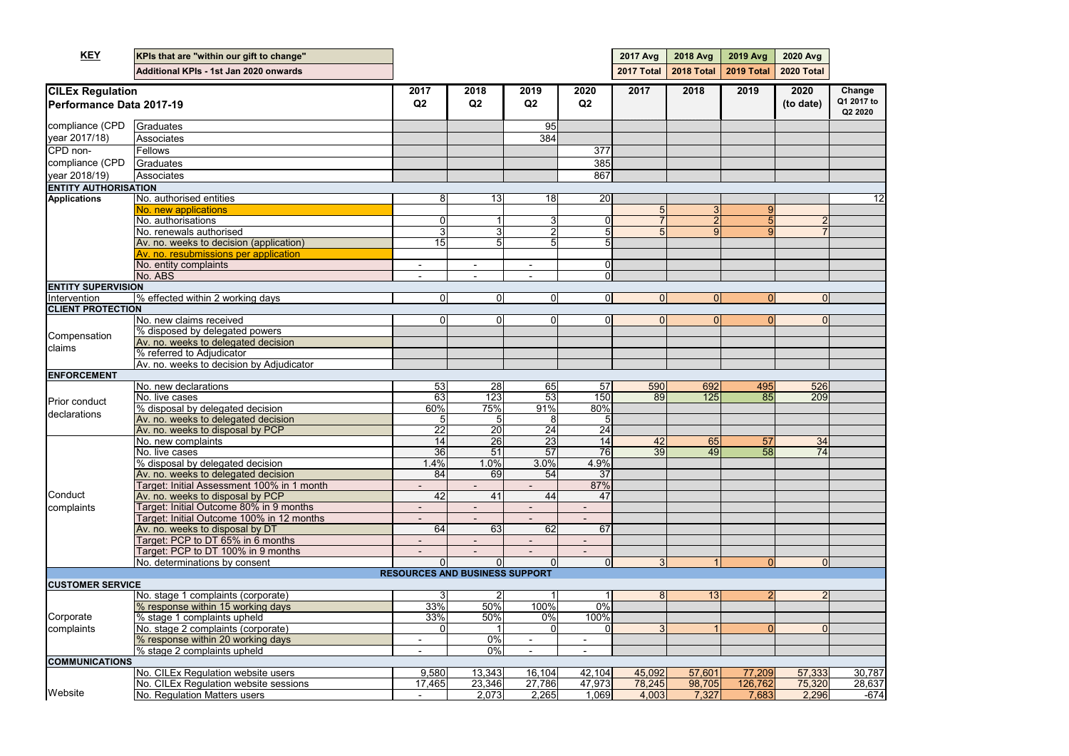| <b>KEY</b>                                          | KPIs that are "within our gift to change"                                      |                                       |                  |                          |                         | <b>2017 Avg</b> | 2018 Avg                 | 2019 Avg       | <b>2020 Avg</b>   |                       |
|-----------------------------------------------------|--------------------------------------------------------------------------------|---------------------------------------|------------------|--------------------------|-------------------------|-----------------|--------------------------|----------------|-------------------|-----------------------|
|                                                     | Additional KPIs - 1st Jan 2020 onwards                                         |                                       |                  |                          |                         | 2017 Total      | <b>2018 Total</b>        | 2019 Total     | <b>2020 Total</b> |                       |
|                                                     |                                                                                | 2017                                  | 2018             | 2019                     | 2020                    | 2017            | 2018                     | 2019           | 2020              | Change                |
| <b>CILEx Regulation</b><br>Performance Data 2017-19 |                                                                                | Q2                                    | Q2               | Q2                       | Q2                      |                 |                          |                | (to date)         | Q1 2017 to<br>Q2 2020 |
| compliance (CPD                                     | Graduates                                                                      |                                       |                  | 95                       |                         |                 |                          |                |                   |                       |
| year 2017/18)                                       | Associates                                                                     |                                       |                  | 384                      |                         |                 |                          |                |                   |                       |
| CPD non-                                            | Fellows                                                                        |                                       |                  |                          | 377                     |                 |                          |                |                   |                       |
| compliance (CPD                                     | Graduates                                                                      |                                       |                  |                          | 385                     |                 |                          |                |                   |                       |
| year 2018/19)                                       | Associates                                                                     |                                       |                  |                          | 867                     |                 |                          |                |                   |                       |
| <b>ENTITY AUTHORISATION</b>                         |                                                                                |                                       |                  |                          |                         |                 |                          |                |                   |                       |
| <b>Applications</b>                                 | No. authorised entities                                                        | 8                                     | 13               | 18                       | 20                      |                 |                          |                |                   | 12                    |
|                                                     | No. new applications                                                           |                                       |                  |                          |                         |                 | 3                        | 9              |                   |                       |
|                                                     | No. authorisations                                                             |                                       |                  | 3                        | O                       |                 | $\overline{\mathcal{P}}$ | 5              |                   |                       |
|                                                     | No. renewals authorised                                                        |                                       | 3                | 2                        | 5                       |                 | 9                        | $\overline{9}$ |                   |                       |
|                                                     | Av. no. weeks to decision (application)                                        | 15                                    | 5                | 5                        |                         |                 |                          |                |                   |                       |
|                                                     | Av. no. resubmissions per application                                          |                                       |                  |                          |                         |                 |                          |                |                   |                       |
|                                                     | No. entity complaints                                                          | $\overline{\phantom{a}}$              | $\blacksquare$   | $\overline{\phantom{a}}$ | 01                      |                 |                          |                |                   |                       |
|                                                     | No. ABS                                                                        |                                       |                  |                          | ΩI                      |                 |                          |                |                   |                       |
| <b>ENTITY SUPERVISION</b>                           |                                                                                |                                       |                  |                          |                         | ΩI              |                          |                |                   |                       |
| Intervention<br><b>CLIENT PROTECTION</b>            | % effected within 2 working days                                               | $\Omega$                              | $\overline{0}$   | $\overline{0}$           | $\overline{\mathbf{0}}$ |                 | $\Omega$                 | $\Omega$       | 0                 |                       |
|                                                     | No. new claims received                                                        |                                       | $\Omega$         | $\mathbf 0$              | ΩI                      |                 | $\Omega$                 | O              | $\Omega$          |                       |
|                                                     | % disposed by delegated powers                                                 |                                       |                  |                          |                         |                 |                          |                |                   |                       |
| Compensation                                        | Av. no. weeks to delegated decision                                            |                                       |                  |                          |                         |                 |                          |                |                   |                       |
| claims                                              | % referred to Adjudicator                                                      |                                       |                  |                          |                         |                 |                          |                |                   |                       |
|                                                     | Av. no. weeks to decision by Adjudicator                                       |                                       |                  |                          |                         |                 |                          |                |                   |                       |
| <b>ENFORCEMENT</b>                                  |                                                                                |                                       |                  |                          |                         |                 |                          |                |                   |                       |
|                                                     | No. new declarations                                                           | 53                                    | 28               | 65                       | 57                      | 590             | 692                      | 495            | 526               |                       |
| <b>Prior conduct</b>                                | No. live cases                                                                 | 63                                    | $\overline{123}$ | 53                       | 150                     | 89              | 125                      | 85             | 209               |                       |
|                                                     | % disposal by delegated decision                                               | 60%                                   | 75%              | 91%                      | 80%                     |                 |                          |                |                   |                       |
| declarations                                        | Av. no. weeks to delegated decision                                            |                                       | 5                | 8                        |                         |                 |                          |                |                   |                       |
|                                                     | Av. no. weeks to disposal by PCP                                               | 22                                    | $\overline{20}$  | $\overline{24}$          | $\overline{24}$         |                 |                          |                |                   |                       |
|                                                     | No. new complaints                                                             | 14                                    | 26               | $\overline{23}$          | 14                      | 42              | 65                       | 57             | 34                |                       |
|                                                     | No. live cases                                                                 | 36                                    | 51               | 57                       | 76                      | 39              | 49                       | 58             | 74                |                       |
|                                                     | % disposal by delegated decision                                               | 1.4%                                  | 1.0%             | 3.0%                     | 4.9%                    |                 |                          |                |                   |                       |
|                                                     | Av. no. weeks to delegated decision                                            | 84                                    | 69               | 54                       | 37                      |                 |                          |                |                   |                       |
| Conduct                                             | Target: Initial Assessment 100% in 1 month<br>Av. no. weeks to disposal by PCP | $\overline{42}$                       | $\overline{41}$  | 44                       | 87%<br>47               |                 |                          |                |                   |                       |
|                                                     | Target: Initial Outcome 80% in 9 months                                        |                                       |                  |                          |                         |                 |                          |                |                   |                       |
| complaints                                          | Target: Initial Outcome 100% in 12 months                                      |                                       |                  |                          |                         |                 |                          |                |                   |                       |
|                                                     | Av. no. weeks to disposal by DT                                                | 64                                    | 63               | 62                       | 67                      |                 |                          |                |                   |                       |
|                                                     | Target: PCP to DT 65% in 6 months                                              |                                       |                  | ٠                        |                         |                 |                          |                |                   |                       |
|                                                     | Target: PCP to DT 100% in 9 months                                             |                                       |                  |                          |                         |                 |                          |                |                   |                       |
|                                                     | No. determinations by consent                                                  | $\Omega$                              | $\Omega$         | $\Omega$                 | $\Omega$                | 3 <sup>l</sup>  |                          | $\overline{0}$ | 0                 |                       |
|                                                     |                                                                                | <b>RESOURCES AND BUSINESS SUPPORT</b> |                  |                          |                         |                 |                          |                |                   |                       |
| <b>CUSTOMER SERVICE</b>                             |                                                                                |                                       |                  |                          |                         |                 |                          |                |                   |                       |
|                                                     | No. stage 1 complaints (corporate)                                             | 3                                     |                  |                          |                         |                 | 13                       |                | $\overline{2}$    |                       |
| Corporate<br>complaints                             | % response within 15 working days                                              | 33%                                   | 50%              | 100%                     | 0%                      |                 |                          |                |                   |                       |
|                                                     | % stage 1 complaints upheld                                                    | 33%                                   | 50%              | $0\%$                    | 100%                    |                 |                          |                |                   |                       |
|                                                     | No. stage 2 complaints (corporate)                                             |                                       |                  | $\mathbf 0$              | O                       |                 |                          | 0              |                   |                       |
|                                                     | % response within 20 working days                                              |                                       | 0%               | $\blacksquare$           | $\blacksquare$          |                 |                          |                |                   |                       |
|                                                     | % stage 2 complaints upheld                                                    |                                       | $\overline{0\%}$ | $\sim$                   | $\sim$                  |                 |                          |                |                   |                       |
| <b>COMMUNICATIONS</b>                               |                                                                                |                                       |                  |                          |                         |                 |                          |                |                   |                       |
|                                                     | No. CILEx Regulation website users                                             | 9,580                                 | 13,343           | 16,104                   | 42,104                  | 45,092          | 57,601                   | 77,209         | 57,333            | 30,787                |
|                                                     | No. CILEx Regulation website sessions                                          | 17,465                                | 23,346           | 27,786                   | 47,973                  | 78,245          | 98,705                   | 126,762        | 75,320            | 28,637                |
| Website                                             | No. Regulation Matters users                                                   |                                       | 2,073            | 2,265                    | 1,069                   | 4,003           | 7,327                    | 7,683          | 2,296             | $-674$                |